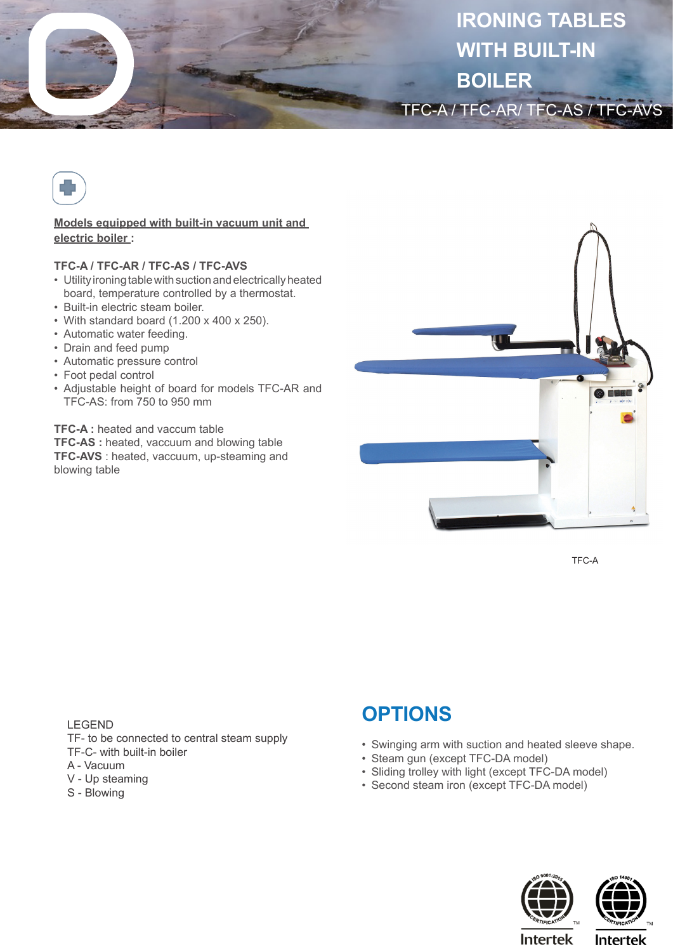



## **Models equipped with built-in vacuum unit and electric boiler :**

## **TFC-A / TFC-AR / TFC-AS / TFC-AVS**

- Utility ironing table with suction and electrically heated board, temperature controlled by a thermostat.
- Built-in electric steam boiler.
- With standard board (1.200 x 400 x 250).
- Automatic water feeding.
- Drain and feed pump
- Automatic pressure control
- Foot pedal control
- Adjustable height of board for models TFC-AR and TFC-AS: from 750 to 950 mm

**TFC-A :** heated and vaccum table **TFC-AS :** heated, vaccuum and blowing table **TFC-AVS** : heated, vaccuum, up-steaming and blowing table



TFC-A

LEGEND

- TF- to be connected to central steam supply
- TF-C- with built-in boiler
- A Vacuum
- V Up steaming
- S Blowing

## **OPTIONS**

- Swinging arm with suction and heated sleeve shape.
- Steam gun (except TFC-DA model)
- Sliding trolley with light (except TFC-DA model)
- Second steam iron (except TFC-DA model)